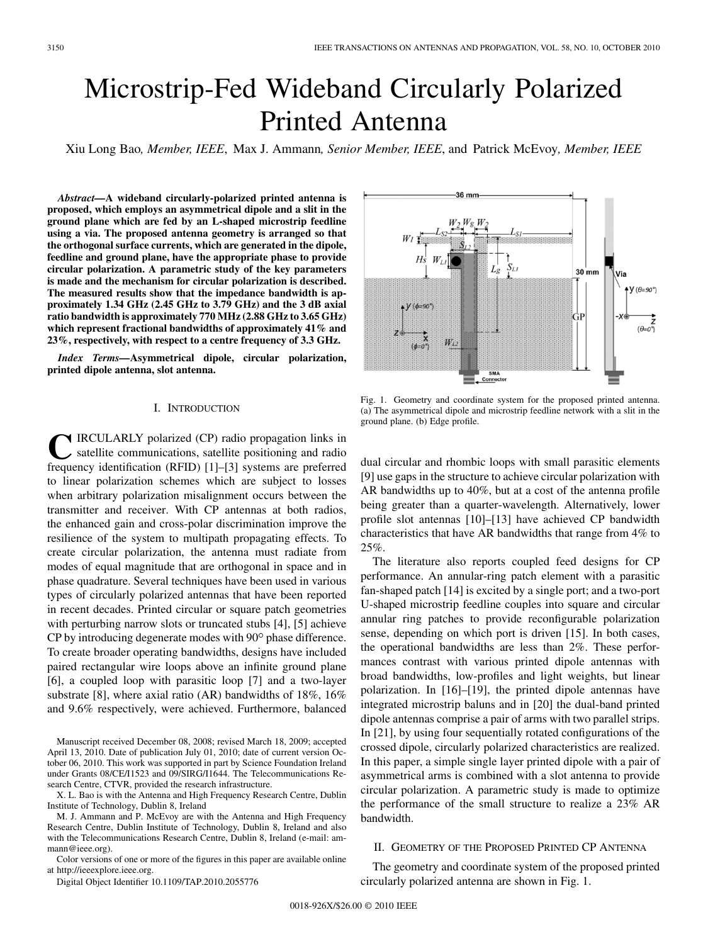# Microstrip-Fed Wideband Circularly Polarized Printed Antenna

Xiu Long Bao*, Member, IEEE*, Max J. Ammann*, Senior Member, IEEE*, and Patrick McEvoy*, Member, IEEE*

*Abstract—***A wideband circularly-polarized printed antenna is proposed, which employs an asymmetrical dipole and a slit in the ground plane which are fed by an L-shaped microstrip feedline using a via. The proposed antenna geometry is arranged so that the orthogonal surface currents, which are generated in the dipole, feedline and ground plane, have the appropriate phase to provide circular polarization. A parametric study of the key parameters is made and the mechanism for circular polarization is described. The measured results show that the impedance bandwidth is approximately 1.34 GHz (2.45 GHz to 3.79 GHz) and the 3 dB axial ratio bandwidth is approximately 770 MHz (2.88 GHz to 3.65 GHz) which represent fractional bandwidths of approximately 41% and 23%, respectively, with respect to a centre frequency of 3.3 GHz.**

*Index Terms—***Asymmetrical dipole, circular polarization, printed dipole antenna, slot antenna.**

# I. INTRODUCTION

**TRCULARLY** polarized (CP) radio propagation links in satellite communications, satellite positioning and radio frequency identification (RFID) [1]–[3] systems are preferred to linear polarization schemes which are subject to losses when arbitrary polarization misalignment occurs between the transmitter and receiver. With CP antennas at both radios, the enhanced gain and cross-polar discrimination improve the resilience of the system to multipath propagating effects. To create circular polarization, the antenna must radiate from modes of equal magnitude that are orthogonal in space and in phase quadrature. Several techniques have been used in various types of circularly polarized antennas that have been reported in recent decades. Printed circular or square patch geometries with perturbing narrow slots or truncated stubs [4], [5] achieve  $CP$  by introducing degenerate modes with  $90^{\circ}$  phase difference. To create broader operating bandwidths, designs have included paired rectangular wire loops above an infinite ground plane [6], a coupled loop with parasitic loop [7] and a two-layer substrate [8], where axial ratio (AR) bandwidths of 18%, 16% and 9.6% respectively, were achieved. Furthermore, balanced

Manuscript received December 08, 2008; revised March 18, 2009; accepted April 13, 2010. Date of publication July 01, 2010; date of current version October 06, 2010. This work was supported in part by Science Foundation Ireland under Grants 08/CE/I1523 and 09/SIRG/I1644. The Telecommunications Research Centre, CTVR, provided the research infrastructure.

X. L. Bao is with the Antenna and High Frequency Research Centre, Dublin Institute of Technology, Dublin 8, Ireland

M. J. Ammann and P. McEvoy are with the Antenna and High Frequency Research Centre, Dublin Institute of Technology, Dublin 8, Ireland and also with the Telecommunications Research Centre, Dublin 8, Ireland (e-mail: ammann@ieee.org).

Color versions of one or more of the figures in this paper are available online at http://ieeexplore.ieee.org.

Digital Object Identifier 10.1109/TAP.2010.2055776



Fig. 1. Geometry and coordinate system for the proposed printed antenna. (a) The asymmetrical dipole and microstrip feedline network with a slit in the ground plane. (b) Edge profile.

dual circular and rhombic loops with small parasitic elements [9] use gaps in the structure to achieve circular polarization with AR bandwidths up to 40%, but at a cost of the antenna profile being greater than a quarter-wavelength. Alternatively, lower profile slot antennas [10]–[13] have achieved CP bandwidth characteristics that have AR bandwidths that range from 4% to 25%.

The literature also reports coupled feed designs for CP performance. An annular-ring patch element with a parasitic fan-shaped patch [14] is excited by a single port; and a two-port U-shaped microstrip feedline couples into square and circular annular ring patches to provide reconfigurable polarization sense, depending on which port is driven [15]. In both cases, the operational bandwidths are less than 2%. These performances contrast with various printed dipole antennas with broad bandwidths, low-profiles and light weights, but linear polarization. In [16]–[19], the printed dipole antennas have integrated microstrip baluns and in [20] the dual-band printed dipole antennas comprise a pair of arms with two parallel strips. In [21], by using four sequentially rotated configurations of the crossed dipole, circularly polarized characteristics are realized. In this paper, a simple single layer printed dipole with a pair of asymmetrical arms is combined with a slot antenna to provide circular polarization. A parametric study is made to optimize the performance of the small structure to realize a 23% AR bandwidth.

# II. GEOMETRY OF THE PROPOSED PRINTED CP ANTENNA

The geometry and coordinate system of the proposed printed circularly polarized antenna are shown in Fig. 1.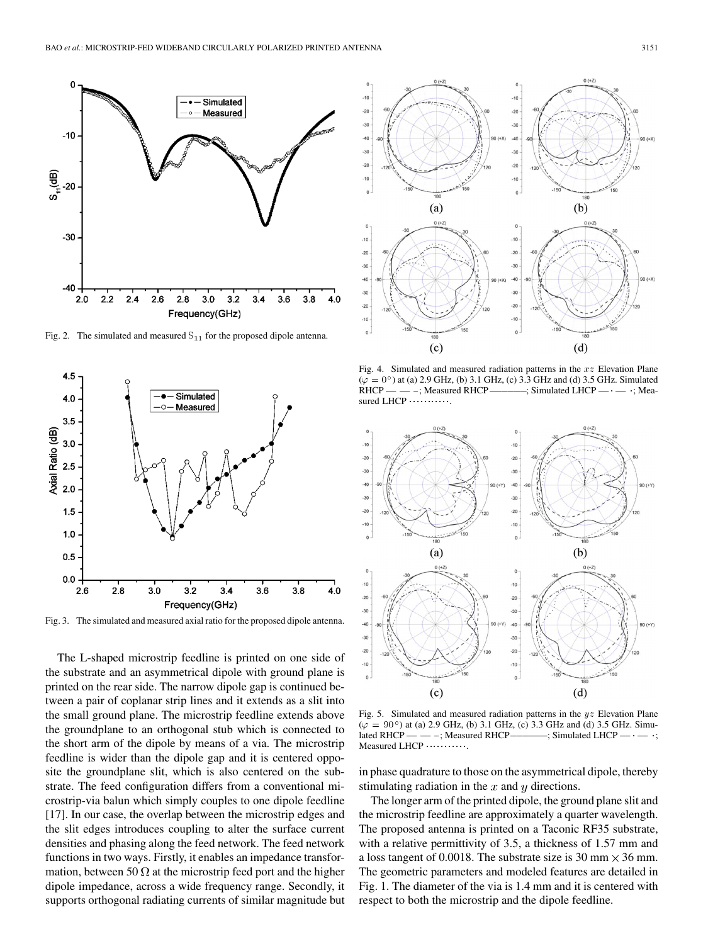

Fig. 2. The simulated and measured  $S_{11}$  for the proposed dipole antenna.



Fig. 3. The simulated and measured axial ratio for the proposed dipole antenna.

The L-shaped microstrip feedline is printed on one side of the substrate and an asymmetrical dipole with ground plane is printed on the rear side. The narrow dipole gap is continued between a pair of coplanar strip lines and it extends as a slit into the small ground plane. The microstrip feedline extends above the groundplane to an orthogonal stub which is connected to the short arm of the dipole by means of a via. The microstrip feedline is wider than the dipole gap and it is centered opposite the groundplane slit, which is also centered on the substrate. The feed configuration differs from a conventional microstrip-via balun which simply couples to one dipole feedline [17]. In our case, the overlap between the microstrip edges and the slit edges introduces coupling to alter the surface current densities and phasing along the feed network. The feed network functions in two ways. Firstly, it enables an impedance transformation, between 50  $\Omega$  at the microstrip feed port and the higher dipole impedance, across a wide frequency range. Secondly, it supports orthogonal radiating currents of similar magnitude but



Fig. 4. Simulated and measured radiation patterns in the  $xz$  Elevation Plane Fig. 4. Simulated and measured radiation patterns in the  $xz$  Elevation Plane <br>( $\varphi = 0^{\circ}$ ) at (a) 2.9 GHz, (b) 3.1 GHz, (c) 3.3 GHz and (d) 3.5 GHz. Simulated<br>RHCP — — -; Measured RHCP — — -; Simulated LHCP — - — -; Mea  $\div$ ; Simulated LHCP  $\leftarrow$   $\div$  ; Mea- $(\varphi = 0^{\circ})$  at (a) 2.9 GHz<br>RHCP — — –; Measur<br>sured LHCP



Fig. 5. Simulated and measured radiation patterns in the  $yz$  Elevation Plane Fig. 5. Simulated and measured radiation patterns in the yz Elevation Plane<br>
( $\varphi = 90^{\circ}$ ) at (a) 2.9 GHz, (b) 3.1 GHz, (c) 3.3 GHz and (d) 3.5 GHz. Simu-<br>
lated RHCP — — –; Measured RHCP ————; Simulated LHCP — — –;  $\Rightarrow$ ; Simulated LHCP —  $\rightarrow$ ; lated RHCP - - -; Measured RHCP-Measured LHCP ...........

in phase quadrature to those on the asymmetrical dipole, thereby stimulating radiation in the  $x$  and  $y$  directions.

The longer arm of the printed dipole, the ground plane slit and the microstrip feedline are approximately a quarter wavelength. The proposed antenna is printed on a Taconic RF35 substrate, with a relative permittivity of 3.5, a thickness of 1.57 mm and a loss tangent of 0.0018. The substrate size is 30 mm  $\times$  36 mm. The geometric parameters and modeled features are detailed in Fig. 1. The diameter of the via is 1.4 mm and it is centered with respect to both the microstrip and the dipole feedline.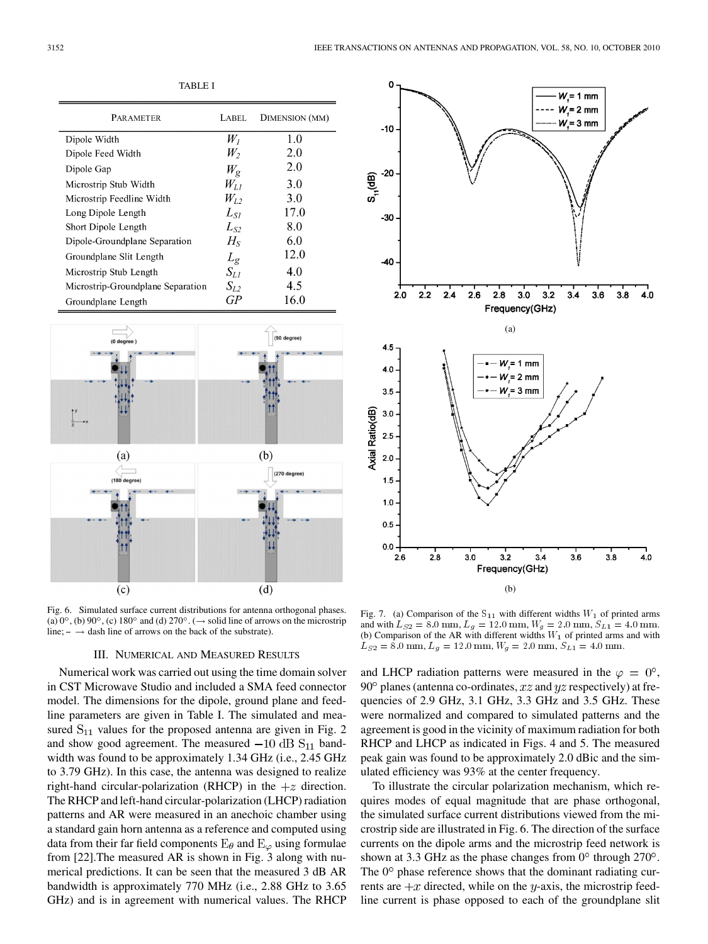| <b>PARAMETER</b>                  | <b>LABEL</b> | DIMENSION (MM) |
|-----------------------------------|--------------|----------------|
| Dipole Width                      | $W_I$        | 1.0            |
| Dipole Feed Width                 | W,           | 2.0            |
| Dipole Gap                        | $W_{\rm g}$  | 2.0            |
| Microstrip Stub Width             | $W_{L1}$     | 3.0            |
| Microstrip Feedline Width         | $W_{I}$ ,    | 3.0            |
| Long Dipole Length                | $L_{SI}$     | 17.0           |
| Short Dipole Length               | $L_{S2}$     | 8.0            |
| Dipole-Groundplane Separation     | $H_{\rm S}$  | 6.0            |
| Groundplane Slit Length           | $L_g$        | 12.0           |
| Microstrip Stub Length            | $S_{L1}$     | 4.0            |
| Microstrip-Groundplane Separation | $S_{L2}$     | 4.5            |
| Groundplane Length                | GР           | 16.0           |

TABLE I



Fig. 6. Simulated surface current distributions for antenna orthogonal phases. (a)  $0^\circ$ , (b)  $90^\circ$ , (c)  $180^\circ$  and (d)  $270^\circ$ . ( $\rightarrow$  solid line of arrows on the microstrip line;  $-\rightarrow$  dash line of arrows on the back of the substrate).

#### III. NUMERICAL AND MEASURED RESULTS

Numerical work was carried out using the time domain solver in CST Microwave Studio and included a SMA feed connector model. The dimensions for the dipole, ground plane and feedline parameters are given in Table I. The simulated and measured  $S_{11}$  values for the proposed antenna are given in Fig. 2 and show good agreement. The measured  $-10$  dB  $S_{11}$  bandwidth was found to be approximately 1.34 GHz (i.e., 2.45 GHz to 3.79 GHz). In this case, the antenna was designed to realize right-hand circular-polarization (RHCP) in the  $+z$  direction. The RHCP and left-hand circular-polarization (LHCP) radiation patterns and AR were measured in an anechoic chamber using a standard gain horn antenna as a reference and computed using data from their far field components  $E_{\theta}$  and  $E_{\varphi}$  using formulae from [22].The measured AR is shown in Fig. 3 along with numerical predictions. It can be seen that the measured 3 dB AR bandwidth is approximately 770 MHz (i.e., 2.88 GHz to 3.65 GHz) and is in agreement with numerical values. The RHCP



Fig. 7. (a) Comparison of the  $S_{11}$  with different widths  $W_1$  of printed arms and with  $L_{S2} = 8.0$  mm,  $L_q = 12.0$  mm,  $W_q = 2.0$  mm,  $S_{L1} = 4.0$  mm. (b) Comparison of the AR with different widths  $W_1$  of printed arms and with  $L_{S2} = 8.0$  mm,  $L_g = 12.0$  mm,  $W_g = 2.0$  mm,  $S_{L1} = 4.0$  mm.

and LHCP radiation patterns were measured in the  $\varphi = 0^{\circ}$ , 90 $\degree$  planes (antenna co-ordinates, x z and y z respectively) at frequencies of 2.9 GHz, 3.1 GHz, 3.3 GHz and 3.5 GHz. These were normalized and compared to simulated patterns and the agreement is good in the vicinity of maximum radiation for both RHCP and LHCP as indicated in Figs. 4 and 5. The measured peak gain was found to be approximately 2.0 dBic and the simulated efficiency was 93% at the center frequency.

To illustrate the circular polarization mechanism, which requires modes of equal magnitude that are phase orthogonal, the simulated surface current distributions viewed from the microstrip side are illustrated in Fig. 6. The direction of the surface currents on the dipole arms and the microstrip feed network is shown at 3.3 GHz as the phase changes from  $0^{\circ}$  through  $270^{\circ}$ . The  $0^{\circ}$  phase reference shows that the dominant radiating currents are  $+x$  directed, while on the y-axis, the microstrip feedline current is phase opposed to each of the groundplane slit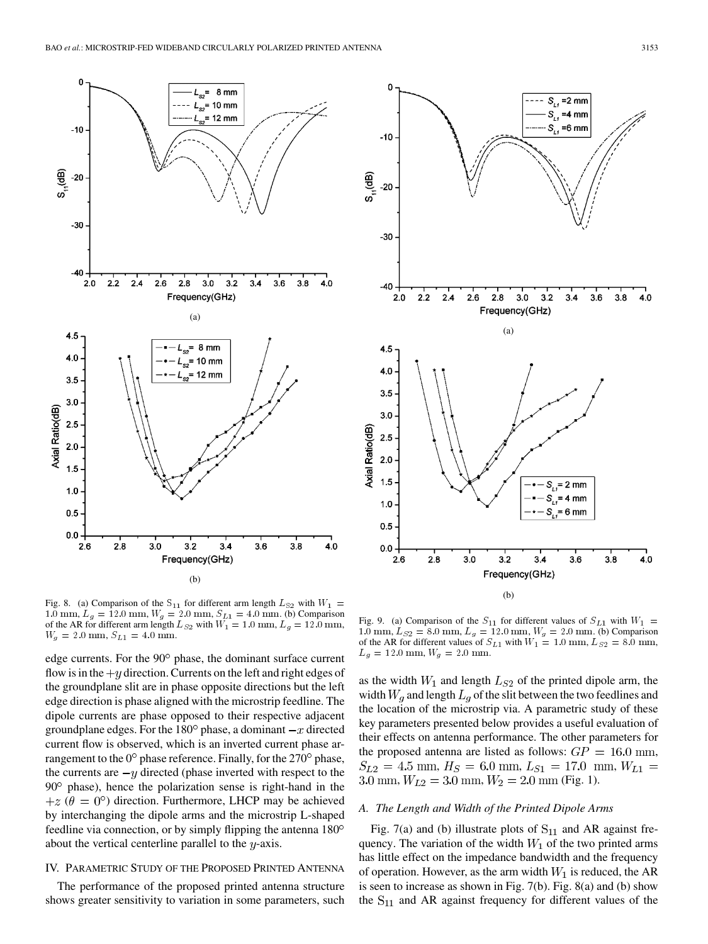

Fig. 8. (a) Comparison of the  $S_{11}$  for different arm length  $L_{S2}$  with  $W_1 =$ 1.0 mm,  $L_g = 12.0$  mm,  $W_g = 2.0$  mm,  $S_{L1} = 4.0$  mm. (b) Comparison of the AR for different arm length  $L_{S2}$  with  $W_1 = 1.0$  mm,  $L_g = 12.0$  mm,  $W_g = 2.0$  mm,  $S_{L1} = 4.0$  mm.

edge currents. For the 90° phase, the dominant surface current flow is in the  $+y$  direction. Currents on the left and right edges of the groundplane slit are in phase opposite directions but the left edge direction is phase aligned with the microstrip feedline. The dipole currents are phase opposed to their respective adjacent groundplane edges. For the 180 $^{\circ}$  phase, a dominant  $-x$  directed current flow is observed, which is an inverted current phase arrangement to the  $0^{\circ}$  phase reference. Finally, for the  $270^{\circ}$  phase, the currents are  $-y$  directed (phase inverted with respect to the  $90^\circ$  phase), hence the polarization sense is right-hand in the  $+z$  ( $\theta = 0^{\circ}$ ) direction. Furthermore, LHCP may be achieved by interchanging the dipole arms and the microstrip L-shaped feedline via connection, or by simply flipping the antenna 180 about the vertical centerline parallel to the  $y$ -axis.

### IV. PARAMETRIC STUDY OF THE PROPOSED PRINTED ANTENNA

The performance of the proposed printed antenna structure shows greater sensitivity to variation in some parameters, such



Fig. 9. (a) Comparison of the  $S_{11}$  for different values of  $S_{L1}$  with  $W_1$  = 1.0 mm,  $L_{S2} = 8.0$  mm,  $L_g = 12.0$  mm,  $W_g = 2.0$  mm. (b) Comparison of the AR for different values of  $S_{L1}$  with  $W_1 = 1.0$  mm,  $L_{S2} = 8.0$  mm,  $L_q = 12.0$  mm,  $W_q = 2.0$  mm.

as the width  $W_1$  and length  $L_{S2}$  of the printed dipole arm, the width  $W_q$  and length  $L_q$  of the slit between the two feedlines and the location of the microstrip via. A parametric study of these key parameters presented below provides a useful evaluation of their effects on antenna performance. The other parameters for the proposed antenna are listed as follows:  $GP = 16.0$  mm,  $S_{L2} = 4.5$  mm,  $H_S = 6.0$  mm,  $L_{S1} = 17.0$  mm,  $W_{L1} =$ 3.0 mm,  $W_{L2} = 3.0$  mm,  $W_2 = 2.0$  mm (Fig. 1).

# *A. The Length and Width of the Printed Dipole Arms*

Fig. 7(a) and (b) illustrate plots of  $S_{11}$  and AR against frequency. The variation of the width  $W_1$  of the two printed arms has little effect on the impedance bandwidth and the frequency of operation. However, as the arm width  $W_1$  is reduced, the AR is seen to increase as shown in Fig. 7(b). Fig. 8(a) and (b) show the  $S_{11}$  and AR against frequency for different values of the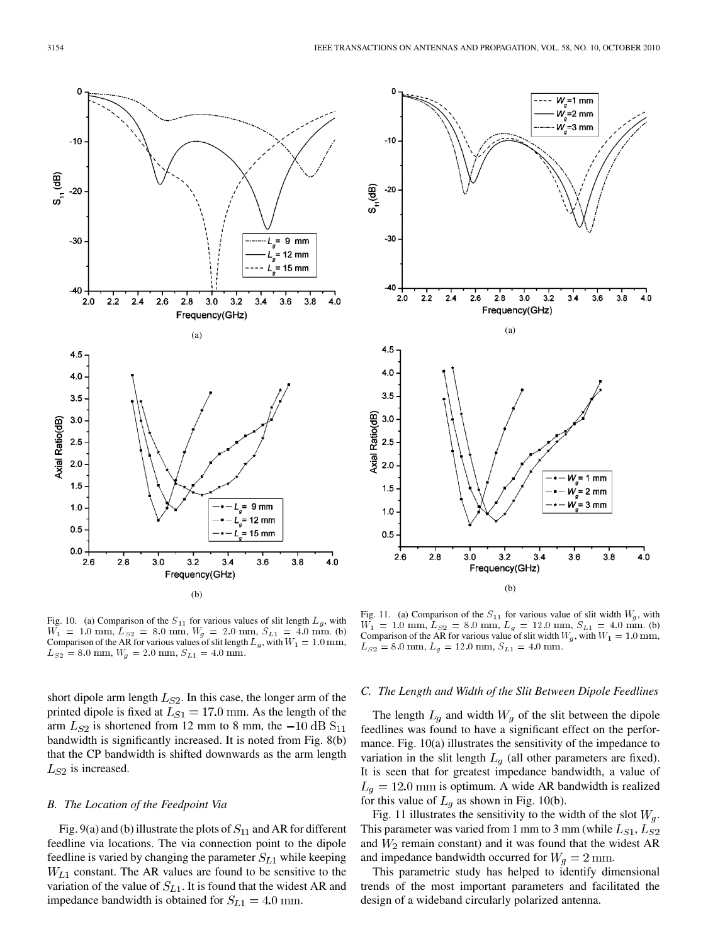

Fig. 10. (a) Comparison of the  $S_{11}$  for various values of slit length  $L_g$ , with  $W_1 = 1.0$  mm,  $L_{S2} = 8.0$  mm,  $W_g = 2.0$  mm,  $S_{L1} = 4.0$  mm. (b) Comparison of the AR for various values of slit length  $L_g$ , with  $W_1 = 1.0 \text{ mm}$ ,  $L_{S2} = 8.0$  mm,  $W_g = 2.0$  mm,  $S_{L1} = 4.0$  mm.

short dipole arm length  $L_{S2}$ . In this case, the longer arm of the printed dipole is fixed at  $L_{S1} = 17.0$  mm. As the length of the arm  $L_{S2}$  is shortened from 12 mm to 8 mm, the  $-10$  dB  $S_{11}$ bandwidth is significantly increased. It is noted from Fig. 8(b) that the CP bandwidth is shifted downwards as the arm length  $L_{S2}$  is increased.

#### *B. The Location of the Feedpoint Via*

Fig. 9(a) and (b) illustrate the plots of  $S_{11}$  and AR for different feedline via locations. The via connection point to the dipole feedline is varied by changing the parameter  $S_{L1}$  while keeping  $W_{L1}$  constant. The AR values are found to be sensitive to the variation of the value of  $S_{L1}$ . It is found that the widest AR and impedance bandwidth is obtained for  $S_{L1} = 4.0$  mm.



Fig. 11. (a) Comparison of the  $S_{11}$  for various value of slit width  $W_g$ , with  $\tilde{W_1} = 1.0$  mm,  $L_{S2} = 8.0$  mm,  $L_g = 12.0$  mm,  $S_{L1} = 4.0$  mm. (b) Comparison of the AR for various value of slit width  $W_g$ , with  $W_1 = 1.0$  mm,  $L_{S2} = 8.0$  mm,  $L_g = 12.0$  mm,  $S_{L1} = 4.0$  mm.

### *C. The Length and Width of the Slit Between Dipole Feedlines*

The length  $L_g$  and width  $W_g$  of the slit between the dipole feedlines was found to have a significant effect on the performance. Fig. 10(a) illustrates the sensitivity of the impedance to variation in the slit length  $L_g$  (all other parameters are fixed). It is seen that for greatest impedance bandwidth, a value of  $L_g = 12.0$  mm is optimum. A wide AR bandwidth is realized for this value of  $L_q$  as shown in Fig. 10(b).

Fig. 11 illustrates the sensitivity to the width of the slot  $W_q$ . This parameter was varied from 1 mm to 3 mm (while  $L_{S1}, L_{S2}$ and  $W_2$  remain constant) and it was found that the widest AR and impedance bandwidth occurred for  $W_q = 2$  mm.

This parametric study has helped to identify dimensional trends of the most important parameters and facilitated the design of a wideband circularly polarized antenna.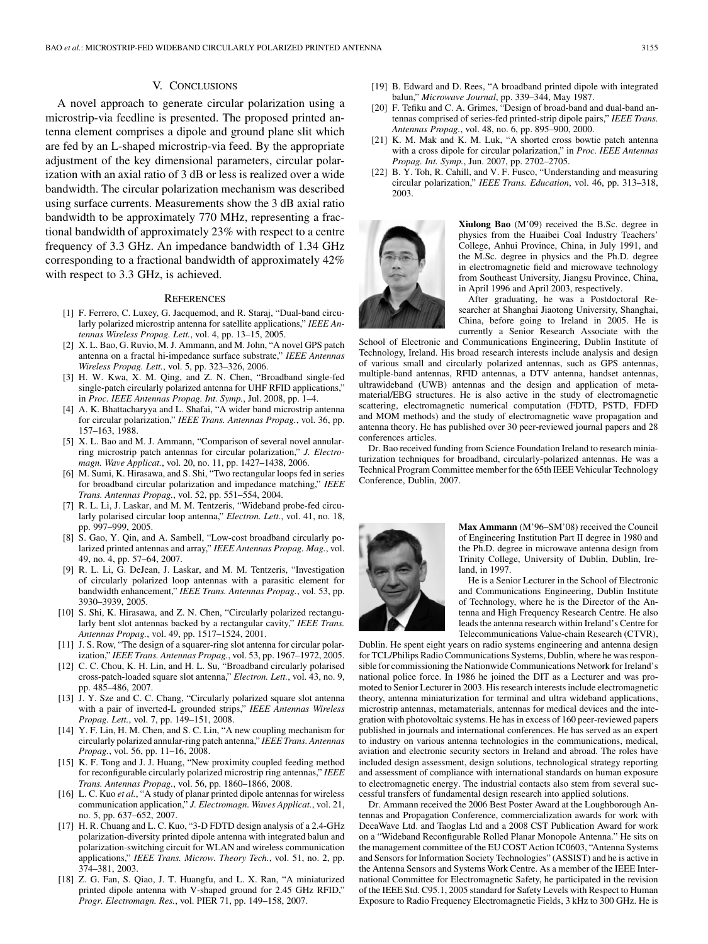# V. CONCLUSIONS

A novel approach to generate circular polarization using a microstrip-via feedline is presented. The proposed printed antenna element comprises a dipole and ground plane slit which are fed by an L-shaped microstrip-via feed. By the appropriate adjustment of the key dimensional parameters, circular polarization with an axial ratio of 3 dB or less is realized over a wide bandwidth. The circular polarization mechanism was described using surface currents. Measurements show the 3 dB axial ratio bandwidth to be approximately 770 MHz, representing a fractional bandwidth of approximately 23% with respect to a centre frequency of 3.3 GHz. An impedance bandwidth of 1.34 GHz corresponding to a fractional bandwidth of approximately 42% with respect to 3.3 GHz, is achieved.

## **REFERENCES**

- [1] F. Ferrero, C. Luxey, G. Jacquemod, and R. Staraj, "Dual-band circularly polarized microstrip antenna for satellite applications," *IEEE Antennas Wireless Propag. Lett.*, vol. 4, pp. 13–15, 2005.
- [2] X. L. Bao, G. Ruvio, M. J. Ammann, and M. John, "A novel GPS patch antenna on a fractal hi-impedance surface substrate," *IEEE Antennas Wireless Propag. Lett.*, vol. 5, pp. 323–326, 2006.
- [3] H. W. Kwa, X. M. Qing, and Z. N. Chen, "Broadband single-fed single-patch circularly polarized antenna for UHF RFID applications," in *Proc. IEEE Antennas Propag. Int. Symp.*, Jul. 2008, pp. 1–4.
- [4] A. K. Bhattacharyya and L. Shafai, "A wider band microstrip antenna for circular polarization," *IEEE Trans. Antennas Propag.*, vol. 36, pp. 157–163, 1988.
- [5] X. L. Bao and M. J. Ammann, "Comparison of several novel annularring microstrip patch antennas for circular polarization," *J. Electromagn. Wave Applicat.*, vol. 20, no. 11, pp. 1427–1438, 2006.
- [6] M. Sumi, K. Hirasawa, and S. Shi, "Two rectangular loops fed in series for broadband circular polarization and impedance matching," *IEEE Trans. Antennas Propag.*, vol. 52, pp. 551–554, 2004.
- [7] R. L. Li, J. Laskar, and M. M. Tentzeris, "Wideband probe-fed circularly polarised circular loop antenna," *Electron. Lett.*, vol. 41, no. 18, pp. 997–999, 2005.
- [8] S. Gao, Y. Qin, and A. Sambell, "Low-cost broadband circularly polarized printed antennas and array," *IEEE Antennas Propag. Mag.*, vol. 49, no. 4, pp. 57–64, 2007.
- [9] R. L. Li, G. DeJean, J. Laskar, and M. M. Tentzeris, "Investigation of circularly polarized loop antennas with a parasitic element for bandwidth enhancement," *IEEE Trans. Antennas Propag.*, vol. 53, pp. 3930–3939, 2005.
- [10] S. Shi, K. Hirasawa, and Z. N. Chen, "Circularly polarized rectangularly bent slot antennas backed by a rectangular cavity," *IEEE Trans. Antennas Propag.*, vol. 49, pp. 1517–1524, 2001.
- [11] J. S. Row, "The design of a squarer-ring slot antenna for circular polarization," *IEEE Trans. Antennas Propag.*, vol. 53, pp. 1967–1972, 2005.
- [12] C. C. Chou, K. H. Lin, and H. L. Su, "Broadband circularly polarised cross-patch-loaded square slot antenna," *Electron. Lett.*, vol. 43, no. 9, pp. 485–486, 2007.
- [13] J. Y. Sze and C. C. Chang, "Circularly polarized square slot antenna with a pair of inverted-L grounded strips," *IEEE Antennas Wireless Propag. Lett.*, vol. 7, pp. 149–151, 2008.
- [14] Y. F. Lin, H. M. Chen, and S. C. Lin, "A new coupling mechanism for circularly polarized annular-ring patch antenna," *IEEE Trans. Antennas Propag.*, vol. 56, pp. 11–16, 2008.
- [15] K. F. Tong and J. J. Huang, "New proximity coupled feeding method for reconfigurable circularly polarized microstrip ring antennas," *IEEE Trans. Antennas Propag.*, vol. 56, pp. 1860–1866, 2008.
- [16] L. C. Kuo *et al.*, "A study of planar printed dipole antennas for wireless communication application," *J. Electromagn. Waves Applicat.*, vol. 21, no. 5, pp. 637–652, 2007.
- [17] H. R. Chuang and L. C. Kuo, "3-D FDTD design analysis of a 2.4-GHz polarization-diversity printed dipole antenna with integrated balun and polarization-switching circuit for WLAN and wireless communication applications," *IEEE Trans. Microw. Theory Tech.*, vol. 51, no. 2, pp. 374–381, 2003.
- [18] Z. G. Fan, S. Qiao, J. T. Huangfu, and L. X. Ran, "A miniaturized printed dipole antenna with V-shaped ground for 2.45 GHz RFID," *Progr. Electromagn. Res.*, vol. PIER 71, pp. 149–158, 2007.
- [19] B. Edward and D. Rees, "A broadband printed dipole with integrated balun," *Microwave Journal*, pp. 339–344, May 1987.
- [20] F. Tefiku and C. A. Grimes, "Design of broad-band and dual-band antennas comprised of series-fed printed-strip dipole pairs," *IEEE Trans. Antennas Propag.*, vol. 48, no. 6, pp. 895–900, 2000.
- [21] K. M. Mak and K. M. Luk, "A shorted cross bowtie patch antenna with a cross dipole for circular polarization," in *Proc. IEEE Antennas Propag. Int. Symp.*, Jun. 2007, pp. 2702–2705.
- [22] B. Y. Toh, R. Cahill, and V. F. Fusco, "Understanding and measuring circular polarization," *IEEE Trans. Education*, vol. 46, pp. 313–318, 2003.



**Xiulong Bao** (M'09) received the B.Sc. degree in physics from the Huaibei Coal Industry Teachers' College, Anhui Province, China, in July 1991, and the M.Sc. degree in physics and the Ph.D. degree in electromagnetic field and microwave technology from Southeast University, Jiangsu Province, China, in April 1996 and April 2003, respectively.

After graduating, he was a Postdoctoral Researcher at Shanghai Jiaotong University, Shanghai, China, before going to Ireland in 2005. He is currently a Senior Research Associate with the

School of Electronic and Communications Engineering, Dublin Institute of Technology, Ireland. His broad research interests include analysis and design of various small and circularly polarized antennas, such as GPS antennas, multiple-band antennas, RFID antennas, a DTV antenna, handset antennas, ultrawideband (UWB) antennas and the design and application of metamaterial/EBG structures. He is also active in the study of electromagnetic scattering, electromagnetic numerical computation (FDTD, PSTD, FDFD and MOM methods) and the study of electromagnetic wave propagation and antenna theory. He has published over 30 peer-reviewed journal papers and 28 conferences articles.

Dr. Bao received funding from Science Foundation Ireland to research miniaturization techniques for broadband, circularly-polarized antennas. He was a Technical Program Committee member for the 65th IEEE Vehicular Technology Conference, Dublin, 2007.



**Max Ammann** (M'96–SM'08) received the Council of Engineering Institution Part II degree in 1980 and the Ph.D. degree in microwave antenna design from Trinity College, University of Dublin, Dublin, Ireland, in 1997.

He is a Senior Lecturer in the School of Electronic and Communications Engineering, Dublin Institute of Technology, where he is the Director of the Antenna and High Frequency Research Centre. He also leads the antenna research within Ireland's Centre for Telecommunications Value-chain Research (CTVR),

Dublin. He spent eight years on radio systems engineering and antenna design for TCL/Philips Radio Communications Systems, Dublin, where he was responsible for commissioning the Nationwide Communications Network for Ireland's national police force. In 1986 he joined the DIT as a Lecturer and was promoted to Senior Lecturer in 2003. His research interests include electromagnetic theory, antenna miniaturization for terminal and ultra wideband applications, microstrip antennas, metamaterials, antennas for medical devices and the integration with photovoltaic systems. He has in excess of 160 peer-reviewed papers published in journals and international conferences. He has served as an expert to industry on various antenna technologies in the communications, medical, aviation and electronic security sectors in Ireland and abroad. The roles have included design assessment, design solutions, technological strategy reporting and assessment of compliance with international standards on human exposure to electromagnetic energy. The industrial contacts also stem from several successful transfers of fundamental design research into applied solutions.

Dr. Ammann received the 2006 Best Poster Award at the Loughborough Antennas and Propagation Conference, commercialization awards for work with DecaWave Ltd. and Taoglas Ltd and a 2008 CST Publication Award for work on a "Wideband Reconfigurable Rolled Planar Monopole Antenna." He sits on the management committee of the EU COST Action IC0603, "Antenna Systems and Sensors for Information Society Technologies" (ASSIST) and he is active in the Antenna Sensors and Systems Work Centre. As a member of the IEEE International Committee for Electromagnetic Safety, he participated in the revision of the IEEE Std. C95.1, 2005 standard for Safety Levels with Respect to Human Exposure to Radio Frequency Electromagnetic Fields, 3 kHz to 300 GHz. He is